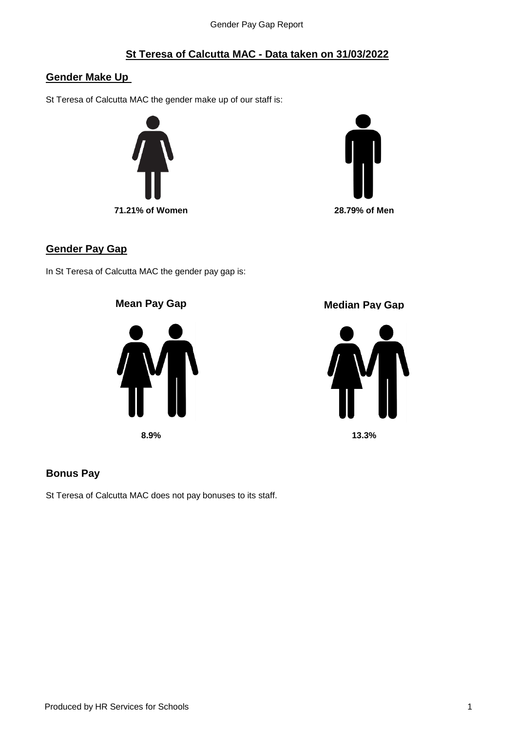# **St Teresa of Calcutta MAC - Data taken on 31/03/2022**

## **Gender Make Up**

St Teresa of Calcutta MAC the gender make up of our staff is:





#### **Gender Pay Gap**

In St Teresa of Calcutta MAC the gender pay gap is:







### **Bonus Pay**

St Teresa of Calcutta MAC does not pay bonuses to its staff.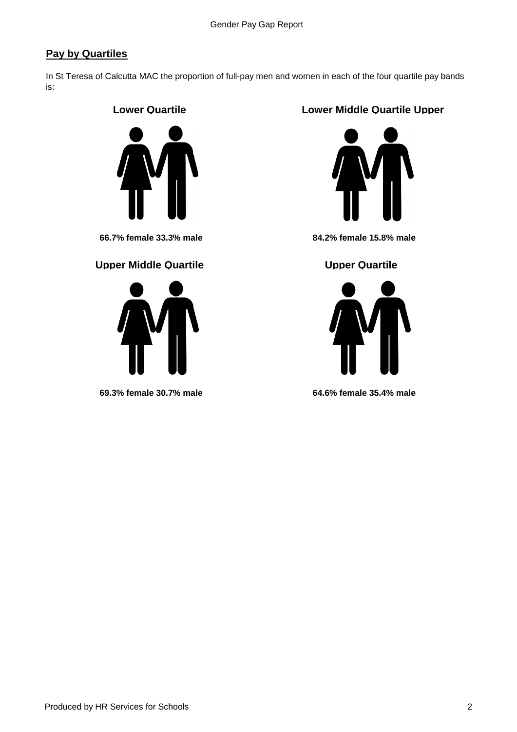# **Pay by Quartiles**

In St Teresa of Calcutta MAC the proportion of full-pay men and women in each of the four quartile pay bands is:

### **Lower Quartile**



#### **Upper Middle Quartile**  Upper Quartile



## **Lower Middle Quartile Upper**



**66.7% female 33.3% male 84.2% female 15.8% male**



**69.3% female 30.7% male 64.6% female 35.4% male**